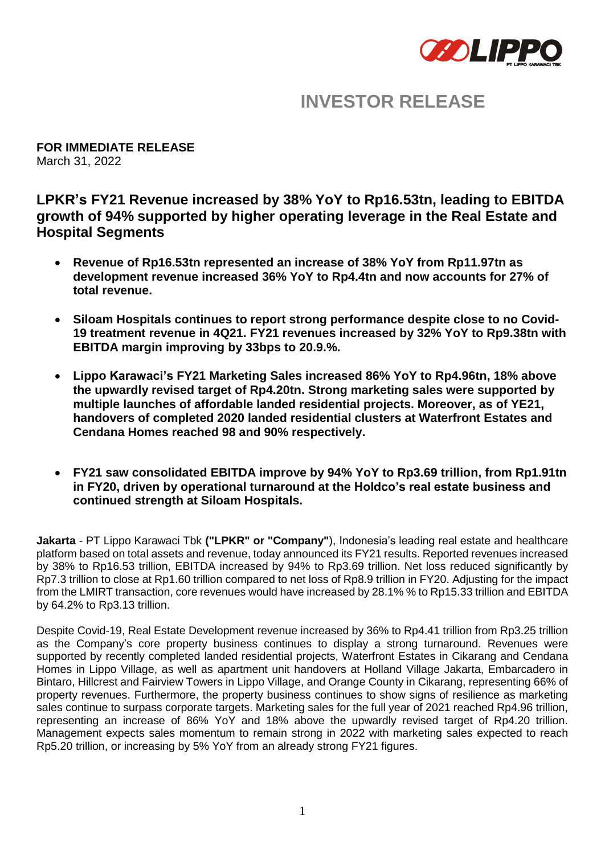

# **INVESTOR RELEASE**

**FOR IMMEDIATE RELEASE** March 31, 2022

**LPKR's FY21 Revenue increased by 38% YoY to Rp16.53tn, leading to EBITDA growth of 94% supported by higher operating leverage in the Real Estate and Hospital Segments**

- **Revenue of Rp16.53tn represented an increase of 38% YoY from Rp11.97tn as development revenue increased 36% YoY to Rp4.4tn and now accounts for 27% of total revenue.**
- **Siloam Hospitals continues to report strong performance despite close to no Covid-19 treatment revenue in 4Q21. FY21 revenues increased by 32% YoY to Rp9.38tn with EBITDA margin improving by 33bps to 20.9.%.**
- **Lippo Karawaci's FY21 Marketing Sales increased 86% YoY to Rp4.96tn, 18% above the upwardly revised target of Rp4.20tn. Strong marketing sales were supported by multiple launches of affordable landed residential projects. Moreover, as of YE21, handovers of completed 2020 landed residential clusters at Waterfront Estates and Cendana Homes reached 98 and 90% respectively.**
- **FY21 saw consolidated EBITDA improve by 94% YoY to Rp3.69 trillion, from Rp1.91tn in FY20, driven by operational turnaround at the Holdco's real estate business and continued strength at Siloam Hospitals.**

**Jakarta** - PT Lippo Karawaci Tbk **("LPKR" or "Company"**), Indonesia's leading real estate and healthcare platform based on total assets and revenue, today announced its FY21 results. Reported revenues increased by 38% to Rp16.53 trillion, EBITDA increased by 94% to Rp3.69 trillion. Net loss reduced significantly by Rp7.3 trillion to close at Rp1.60 trillion compared to net loss of Rp8.9 trillion in FY20. Adjusting for the impact from the LMIRT transaction, core revenues would have increased by 28.1% % to Rp15.33 trillion and EBITDA by 64.2% to Rp3.13 trillion.

Despite Covid-19, Real Estate Development revenue increased by 36% to Rp4.41 trillion from Rp3.25 trillion as the Company's core property business continues to display a strong turnaround. Revenues were supported by recently completed landed residential projects, Waterfront Estates in Cikarang and Cendana Homes in Lippo Village, as well as apartment unit handovers at Holland Village Jakarta, Embarcadero in Bintaro, Hillcrest and Fairview Towers in Lippo Village, and Orange County in Cikarang, representing 66% of property revenues. Furthermore, the property business continues to show signs of resilience as marketing sales continue to surpass corporate targets. Marketing sales for the full year of 2021 reached Rp4.96 trillion, representing an increase of 86% YoY and 18% above the upwardly revised target of Rp4.20 trillion. Management expects sales momentum to remain strong in 2022 with marketing sales expected to reach Rp5.20 trillion, or increasing by 5% YoY from an already strong FY21 figures.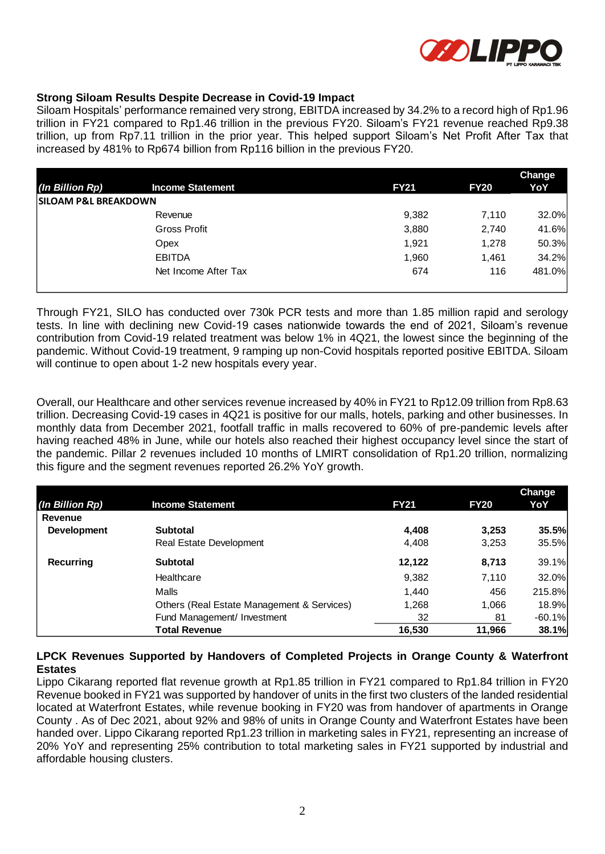

### **Strong Siloam Results Despite Decrease in Covid-19 Impact**

Siloam Hospitals' performance remained very strong, EBITDA increased by 34.2% to a record high of Rp1.96 trillion in FY21 compared to Rp1.46 trillion in the previous FY20. Siloam's FY21 revenue reached Rp9.38 trillion, up from Rp7.11 trillion in the prior year. This helped support Siloam's Net Profit After Tax that increased by 481% to Rp674 billion from Rp116 billion in the previous FY20.

|                                 |                         |             |             | <b>Change</b> |
|---------------------------------|-------------------------|-------------|-------------|---------------|
| (In Billion Rp)                 | <b>Income Statement</b> | <b>FY21</b> | <b>FY20</b> | YoY           |
| <b>SILOAM P&amp;L BREAKDOWN</b> |                         |             |             |               |
|                                 | Revenue                 | 9,382       | 7,110       | 32.0%         |
|                                 | Gross Profit            | 3,880       | 2,740       | 41.6%         |
|                                 | Opex                    | 1,921       | 1,278       | 50.3%         |
|                                 | <b>EBITDA</b>           | 1,960       | 1,461       | 34.2%         |
|                                 | Net Income After Tax    | 674         | 116         | 481.0%        |

Through FY21, SILO has conducted over 730k PCR tests and more than 1.85 million rapid and serology tests. In line with declining new Covid-19 cases nationwide towards the end of 2021, Siloam's revenue contribution from Covid-19 related treatment was below 1% in 4Q21, the lowest since the beginning of the pandemic. Without Covid-19 treatment, 9 ramping up non-Covid hospitals reported positive EBITDA. Siloam will continue to open about 1-2 new hospitals every year.

Overall, our Healthcare and other services revenue increased by 40% in FY21 to Rp12.09 trillion from Rp8.63 trillion. Decreasing Covid-19 cases in 4Q21 is positive for our malls, hotels, parking and other businesses. In monthly data from December 2021, footfall traffic in malls recovered to 60% of pre-pandemic levels after having reached 48% in June, while our hotels also reached their highest occupancy level since the start of the pandemic. Pillar 2 revenues included 10 months of LMIRT consolidation of Rp1.20 trillion, normalizing this figure and the segment revenues reported 26.2% YoY growth.

|                    |                                            |             |             | <b>Change</b> |
|--------------------|--------------------------------------------|-------------|-------------|---------------|
| (In Billion Rp)    | <b>Income Statement</b>                    | <b>FY21</b> | <b>FY20</b> | YoY           |
| Revenue            |                                            |             |             |               |
| <b>Development</b> | <b>Subtotal</b>                            | 4,408       | 3,253       | 35.5%         |
|                    | Real Estate Development                    | 4,408       | 3,253       | 35.5%         |
| <b>Recurring</b>   | <b>Subtotal</b>                            | 12,122      | 8,713       | 39.1%         |
|                    | Healthcare                                 | 9,382       | 7,110       | 32.0%         |
|                    | Malls                                      | 1,440       | 456         | 215.8%        |
|                    | Others (Real Estate Management & Services) | 1,268       | 1,066       | 18.9%         |
|                    | Fund Management/ Investment                | 32          | 81          | $-60.1%$      |
|                    | <b>Total Revenue</b>                       | 16,530      | 11,966      | 38.1%         |

#### **LPCK Revenues Supported by Handovers of Completed Projects in Orange County & Waterfront Estates**

Lippo Cikarang reported flat revenue growth at Rp1.85 trillion in FY21 compared to Rp1.84 trillion in FY20 Revenue booked in FY21 was supported by handover of units in the first two clusters of the landed residential located at Waterfront Estates, while revenue booking in FY20 was from handover of apartments in Orange County . As of Dec 2021, about 92% and 98% of units in Orange County and Waterfront Estates have been handed over. Lippo Cikarang reported Rp1.23 trillion in marketing sales in FY21, representing an increase of 20% YoY and representing 25% contribution to total marketing sales in FY21 supported by industrial and affordable housing clusters.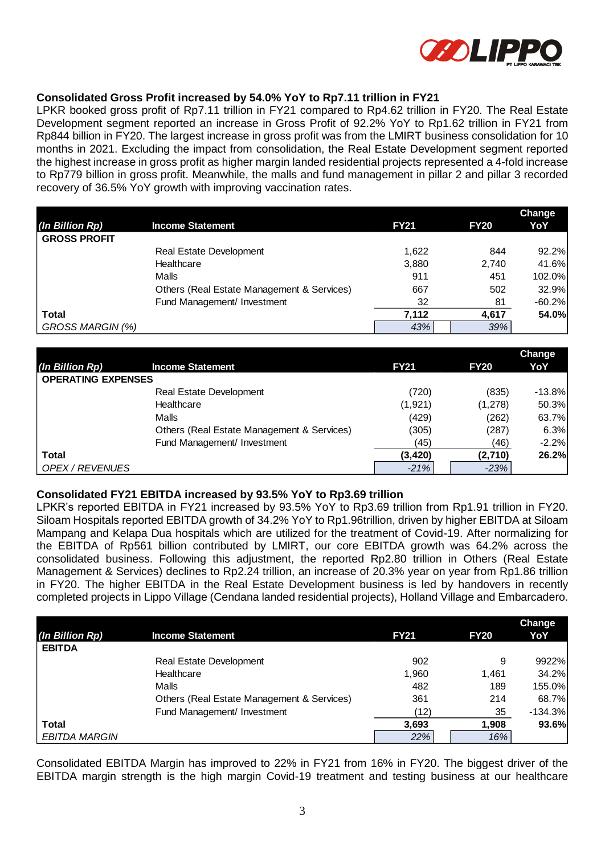

### **Consolidated Gross Profit increased by 54.0% YoY to Rp7.11 trillion in FY21**

LPKR booked gross profit of Rp7.11 trillion in FY21 compared to Rp4.62 trillion in FY20. The Real Estate Development segment reported an increase in Gross Profit of 92.2% YoY to Rp1.62 trillion in FY21 from Rp844 billion in FY20. The largest increase in gross profit was from the LMIRT business consolidation for 10 months in 2021. Excluding the impact from consolidation, the Real Estate Development segment reported the highest increase in gross profit as higher margin landed residential projects represented a 4-fold increase to Rp779 billion in gross profit. Meanwhile, the malls and fund management in pillar 2 and pillar 3 recorded recovery of 36.5% YoY growth with improving vaccination rates.

|                     |                                            |             |             | <b>Change</b> |
|---------------------|--------------------------------------------|-------------|-------------|---------------|
| (In Billion Rp)     | <b>Income Statement</b>                    | <b>FY21</b> | <b>FY20</b> | YoY           |
| <b>GROSS PROFIT</b> |                                            |             |             |               |
|                     | Real Estate Development                    | 1.622       | 844         | 92.2%         |
|                     | Healthcare                                 | 3,880       | 2,740       | 41.6%         |
|                     | Malls                                      | 911         | 451         | 102.0%        |
|                     | Others (Real Estate Management & Services) | 667         | 502         | 32.9%         |
|                     | Fund Management/ Investment                | 32          | 81          | $-60.2%$      |
| <b>Total</b>        |                                            | 7.112       | 4.617       | 54.0%         |
| GROSS MARGIN (%)    |                                            | 43%         | 39%         |               |

|                           |                                            |             |             | Change   |
|---------------------------|--------------------------------------------|-------------|-------------|----------|
| (In Billion Rp)           | <b>Income Statement</b>                    | <b>FY21</b> | <b>FY20</b> | YoY      |
| <b>OPERATING EXPENSES</b> |                                            |             |             |          |
|                           | <b>Real Estate Development</b>             | (720)       | (835)       | $-13.8%$ |
|                           | Healthcare                                 | (1,921)     | (1,278)     | 50.3%    |
|                           | Malls                                      | (429)       | (262)       | 63.7%    |
|                           | Others (Real Estate Management & Services) | (305)       | (287)       | 6.3%     |
|                           | Fund Management/ Investment                | (45)        | (46)        | $-2.2%$  |
| Total                     |                                            | (3, 420)    | (2,710)     | 26.2%    |
| OPEX / REVENUES           |                                            | $-21%$      | $-23%$      |          |

### **Consolidated FY21 EBITDA increased by 93.5% YoY to Rp3.69 trillion**

LPKR's reported EBITDA in FY21 increased by 93.5% YoY to Rp3.69 trillion from Rp1.91 trillion in FY20. Siloam Hospitals reported EBITDA growth of 34.2% YoY to Rp1.96trillion, driven by higher EBITDA at Siloam Mampang and Kelapa Dua hospitals which are utilized for the treatment of Covid-19. After normalizing for the EBITDA of Rp561 billion contributed by LMIRT, our core EBITDA growth was 64.2% across the consolidated business. Following this adjustment, the reported Rp2.80 trillion in Others (Real Estate Management & Services) declines to Rp2.24 trillion, an increase of 20.3% year on year from Rp1.86 trillion in FY20. The higher EBITDA in the Real Estate Development business is led by handovers in recently completed projects in Lippo Village (Cendana landed residential projects), Holland Village and Embarcadero.

|                      |                                            |             |             | <b>Change</b> |
|----------------------|--------------------------------------------|-------------|-------------|---------------|
| (In Billion Rp)      | <b>Income Statement</b>                    | <b>FY21</b> | <b>FY20</b> | YoY           |
| <b>EBITDA</b>        |                                            |             |             |               |
|                      | <b>Real Estate Development</b>             | 902         | 9           | 9922%         |
|                      | Healthcare                                 | 1,960       | 1,461       | 34.2%         |
|                      | Malls                                      | 482         | 189         | 155.0%        |
|                      | Others (Real Estate Management & Services) | 361         | 214         | 68.7%         |
|                      | Fund Management/ Investment                | (12)        | 35          | $-134.3%$     |
| Total                |                                            | 3,693       | 1,908       | 93.6%         |
| <b>EBITDA MARGIN</b> |                                            | 22%         | 16%         |               |

Consolidated EBITDA Margin has improved to 22% in FY21 from 16% in FY20. The biggest driver of the EBITDA margin strength is the high margin Covid-19 treatment and testing business at our healthcare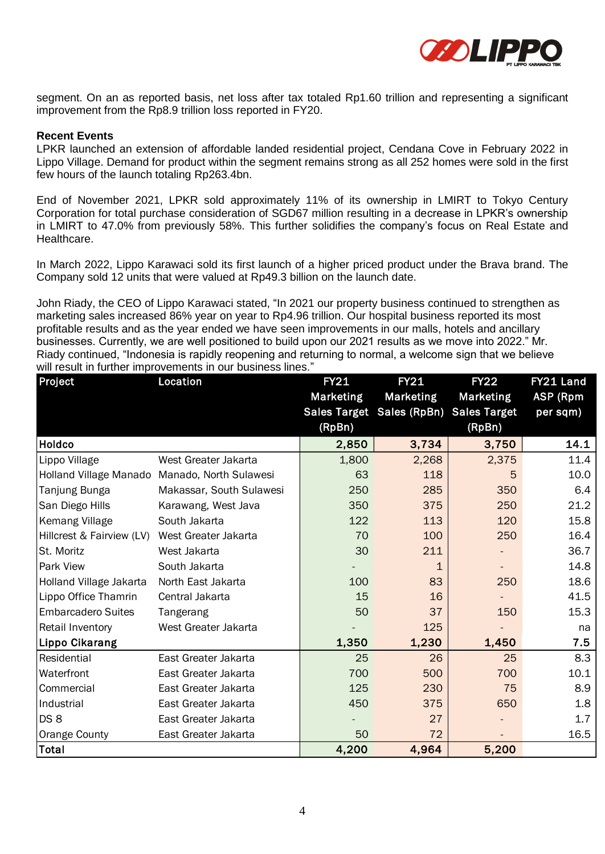

segment. On an as reported basis, net loss after tax totaled Rp1.60 trillion and representing a significant improvement from the Rp8.9 trillion loss reported in FY20.

#### **Recent Events**

LPKR launched an extension of affordable landed residential project, Cendana Cove in February 2022 in Lippo Village. Demand for product within the segment remains strong as all 252 homes were sold in the first few hours of the launch totaling Rp263.4bn.

End of November 2021, LPKR sold approximately 11% of its ownership in LMIRT to Tokyo Century Corporation for total purchase consideration of SGD67 million resulting in a decrease in LPKR's ownership in LMIRT to 47.0% from previously 58%. This further solidifies the company's focus on Real Estate and Healthcare.

In March 2022, Lippo Karawaci sold its first launch of a higher priced product under the Brava brand. The Company sold 12 units that were valued at Rp49.3 billion on the launch date.

John Riady, the CEO of Lippo Karawaci stated, "In 2021 our property business continued to strengthen as marketing sales increased 86% year on year to Rp4.96 trillion. Our hospital business reported its most profitable results and as the year ended we have seen improvements in our malls, hotels and ancillary businesses. Currently, we are well positioned to build upon our 2021 results as we move into 2022." Mr. Riady continued, "Indonesia is rapidly reopening and returning to normal, a welcome sign that we believe will result in further improvements in our business lines."

| Project                   | Location                                      | <b>FY21</b>      | <b>FY21</b>                            | <b>FY22</b>      | FY21 Land       |
|---------------------------|-----------------------------------------------|------------------|----------------------------------------|------------------|-----------------|
|                           |                                               | <b>Marketing</b> | <b>Marketing</b>                       | <b>Marketing</b> | <b>ASP (Rpm</b> |
|                           |                                               |                  | Sales Target Sales (RpBn) Sales Target |                  | per sqm)        |
|                           |                                               | (RpBn)           |                                        | (RpBn)           |                 |
| Holdco                    |                                               | 2,850            | 3,734                                  | 3,750            | 14.1            |
| Lippo Village             | West Greater Jakarta                          | 1,800            | 2,268                                  | 2,375            | 11.4            |
|                           | Holland Village Manado Manado, North Sulawesi | 63               | 118                                    | 5                | 10.0            |
| Tanjung Bunga             | Makassar, South Sulawesi                      | 250              | 285                                    | 350              | 6.4             |
| San Diego Hills           | Karawang, West Java                           | 350              | 375                                    | 250              | 21.2            |
| <b>Kemang Village</b>     | South Jakarta                                 | 122              | 113                                    | 120              | 15.8            |
| Hillcrest & Fairview (LV) | West Greater Jakarta                          | 70               | 100                                    | 250              | 16.4            |
| St. Moritz                | West Jakarta                                  | 30               | 211                                    |                  | 36.7            |
| Park View                 | South Jakarta                                 |                  | 1                                      |                  | 14.8            |
| Holland Village Jakarta   | North East Jakarta                            | 100              | 83                                     | 250              | 18.6            |
| Lippo Office Thamrin      | Central Jakarta                               | 15               | 16                                     |                  | 41.5            |
| <b>Embarcadero Suites</b> | Tangerang                                     | 50               | 37                                     | 150              | 15.3            |
| Retail Inventory          | West Greater Jakarta                          |                  | 125                                    |                  | na              |
| <b>Lippo Cikarang</b>     |                                               | 1,350            | 1,230                                  | 1,450            | 7.5             |
| Residential               | East Greater Jakarta                          | 25               | 26                                     | 25               | 8.3             |
| Waterfront                | East Greater Jakarta                          | 700              | 500                                    | 700              | 10.1            |
| Commercial                | East Greater Jakarta                          | 125              | 230                                    | 75               | 8.9             |
| Industrial                | East Greater Jakarta                          | 450              | 375                                    | 650              | 1.8             |
| DS <sub>8</sub>           | East Greater Jakarta                          |                  | 27                                     |                  | 1.7             |
| Orange County             | East Greater Jakarta                          | 50               | 72                                     |                  | 16.5            |
| Total                     |                                               | 4,200            | 4,964                                  | 5,200            |                 |